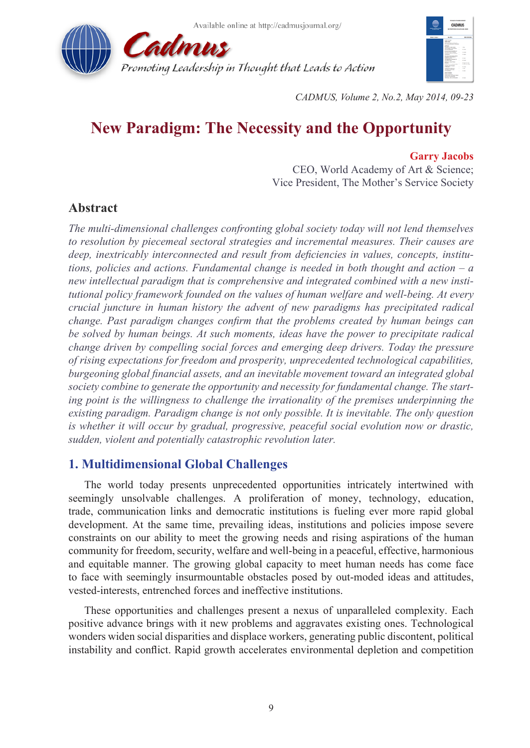



*CADMUS, Volume 2, No.2, May 2014, 09-23*

# **New Paradigm: The Necessity and the Opportunity**

#### **Garry Jacobs**

CEO, World Academy of Art & Science; Vice President, The Mother's Service Society

# **Abstract**

*The multi-dimensional challenges confronting global society today will not lend themselves to resolution by piecemeal sectoral strategies and incremental measures. Their causes are deep, inextricably interconnected and result from deficiencies in values, concepts, institutions, policies and actions. Fundamental change is needed in both thought and action – a new intellectual paradigm that is comprehensive and integrated combined with a new institutional policy framework founded on the values of human welfare and well-being. At every crucial juncture in human history the advent of new paradigms has precipitated radical change. Past paradigm changes confirm that the problems created by human beings can be solved by human beings. At such moments, ideas have the power to precipitate radical change driven by compelling social forces and emerging deep drivers. Today the pressure of rising expectations for freedom and prosperity, unprecedented technological capabilities, burgeoning global financial assets, and an inevitable movement toward an integrated global society combine to generate the opportunity and necessity for fundamental change. The starting point is the willingness to challenge the irrationality of the premises underpinning the existing paradigm. Paradigm change is not only possible. It is inevitable. The only question is whether it will occur by gradual, progressive, peaceful social evolution now or drastic, sudden, violent and potentially catastrophic revolution later.* 

# **1. Multidimensional Global Challenges**

The world today presents unprecedented opportunities intricately intertwined with seemingly unsolvable challenges. A proliferation of money, technology, education, trade, communication links and democratic institutions is fueling ever more rapid global development. At the same time, prevailing ideas, institutions and policies impose severe constraints on our ability to meet the growing needs and rising aspirations of the human community for freedom, security, welfare and well-being in a peaceful, effective, harmonious and equitable manner. The growing global capacity to meet human needs has come face to face with seemingly insurmountable obstacles posed by out-moded ideas and attitudes, vested-interests, entrenched forces and ineffective institutions.

These opportunities and challenges present a nexus of unparalleled complexity. Each positive advance brings with it new problems and aggravates existing ones. Technological wonders widen social disparities and displace workers, generating public discontent, political instability and conflict. Rapid growth accelerates environmental depletion and competition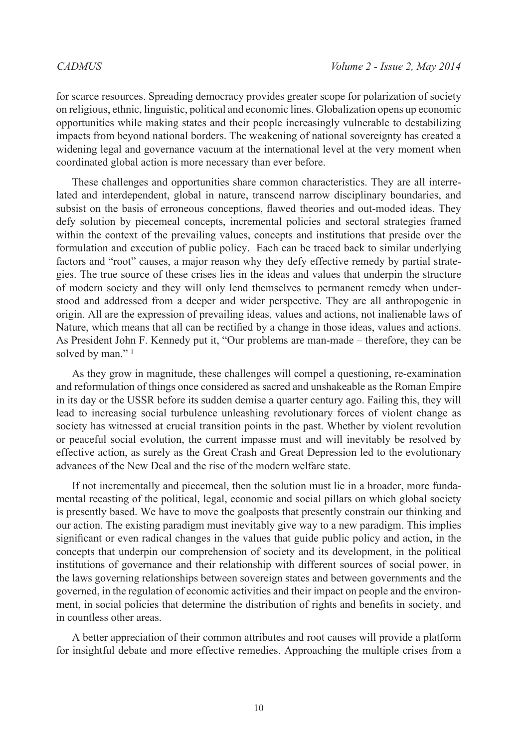for scarce resources. Spreading democracy provides greater scope for polarization of society on religious, ethnic, linguistic, political and economic lines. Globalization opens up economic opportunities while making states and their people increasingly vulnerable to destabilizing impacts from beyond national borders. The weakening of national sovereignty has created a widening legal and governance vacuum at the international level at the very moment when coordinated global action is more necessary than ever before.

These challenges and opportunities share common characteristics. They are all interrelated and interdependent, global in nature, transcend narrow disciplinary boundaries, and subsist on the basis of erroneous conceptions, flawed theories and out-moded ideas. They defy solution by piecemeal concepts, incremental policies and sectoral strategies framed within the context of the prevailing values, concepts and institutions that preside over the formulation and execution of public policy. Each can be traced back to similar underlying factors and "root" causes, a major reason why they defy effective remedy by partial strategies. The true source of these crises lies in the ideas and values that underpin the structure of modern society and they will only lend themselves to permanent remedy when understood and addressed from a deeper and wider perspective. They are all anthropogenic in origin. All are the expression of prevailing ideas, values and actions, not inalienable laws of Nature, which means that all can be rectified by a change in those ideas, values and actions. As President John F. Kennedy put it, "Our problems are man-made – therefore, they can be solved by man."<sup>[1](#page-14-0)</sup>

As they grow in magnitude, these challenges will compel a questioning, re-examination and reformulation of things once considered as sacred and unshakeable as the Roman Empire in its day or the USSR before its sudden demise a quarter century ago. Failing this, they will lead to increasing social turbulence unleashing revolutionary forces of violent change as society has witnessed at crucial transition points in the past. Whether by violent revolution or peaceful social evolution, the current impasse must and will inevitably be resolved by effective action, as surely as the Great Crash and Great Depression led to the evolutionary advances of the New Deal and the rise of the modern welfare state.

If not incrementally and piecemeal, then the solution must lie in a broader, more fundamental recasting of the political, legal, economic and social pillars on which global society is presently based. We have to move the goalposts that presently constrain our thinking and our action. The existing paradigm must inevitably give way to a new paradigm. This implies significant or even radical changes in the values that guide public policy and action, in the concepts that underpin our comprehension of society and its development, in the political institutions of governance and their relationship with different sources of social power, in the laws governing relationships between sovereign states and between governments and the governed, in the regulation of economic activities and their impact on people and the environment, in social policies that determine the distribution of rights and benefits in society, and in countless other areas.

A better appreciation of their common attributes and root causes will provide a platform for insightful debate and more effective remedies. Approaching the multiple crises from a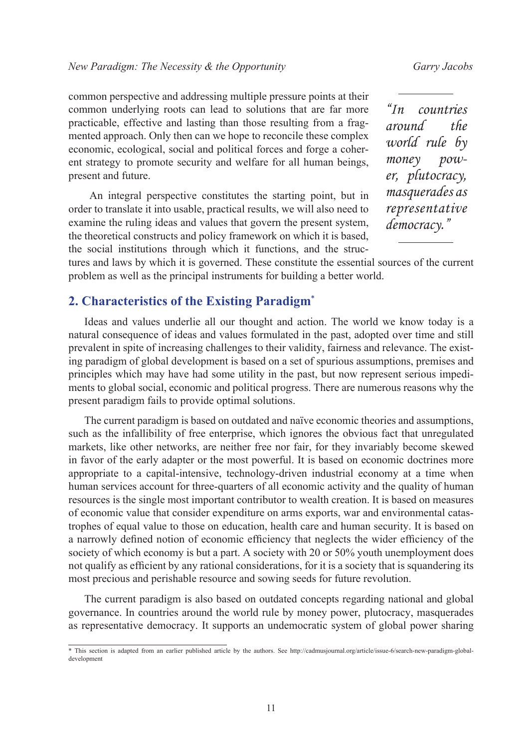common perspective and addressing multiple pressure points at their common underlying roots can lead to solutions that are far more practicable, effective and lasting than those resulting from a fragmented approach. Only then can we hope to reconcile these complex economic, ecological, social and political forces and forge a coherent strategy to promote security and welfare for all human beings, present and future.

An integral perspective constitutes the starting point, but in order to translate it into usable, practical results, we will also need to examine the ruling ideas and values that govern the present system, the theoretical constructs and policy framework on which it is based, the social institutions through which it functions, and the struc-

*"In countries around the world rule by money power, plutocracy, masquerades as representative democracy."*

tures and laws by which it is governed. These constitute the essential sources of the current problem as well as the principal instruments for building a better world.

# **2. Characteristics of the Existing Paradigm\***

Ideas and values underlie all our thought and action. The world we know today is a natural consequence of ideas and values formulated in the past, adopted over time and still prevalent in spite of increasing challenges to their validity, fairness and relevance. The existing paradigm of global development is based on a set of spurious assumptions, premises and principles which may have had some utility in the past, but now represent serious impediments to global social, economic and political progress. There are numerous reasons why the present paradigm fails to provide optimal solutions.

The current paradigm is based on outdated and naïve economic theories and assumptions, such as the infallibility of free enterprise, which ignores the obvious fact that unregulated markets, like other networks, are neither free nor fair, for they invariably become skewed in favor of the early adapter or the most powerful. It is based on economic doctrines more appropriate to a capital-intensive, technology-driven industrial economy at a time when human services account for three-quarters of all economic activity and the quality of human resources is the single most important contributor to wealth creation. It is based on measures of economic value that consider expenditure on arms exports, war and environmental catastrophes of equal value to those on education, health care and human security. It is based on a narrowly defined notion of economic efficiency that neglects the wider efficiency of the society of which economy is but a part. A society with 20 or 50% youth unemployment does not qualify as efficient by any rational considerations, for it is a society that is squandering its most precious and perishable resource and sowing seeds for future revolution.

The current paradigm is also based on outdated concepts regarding national and global governance. In countries around the world rule by money power, plutocracy, masquerades as representative democracy. It supports an undemocratic system of global power sharing

<sup>\*</sup> This section is adapted from an earlier published article by the authors. See [http://cadmusjournal.org/article/issue-6/search-new-paradigm-global](http://cadmusjournal.org/article/issue-6/search-new-paradigm-global-development)[development](http://cadmusjournal.org/article/issue-6/search-new-paradigm-global-development)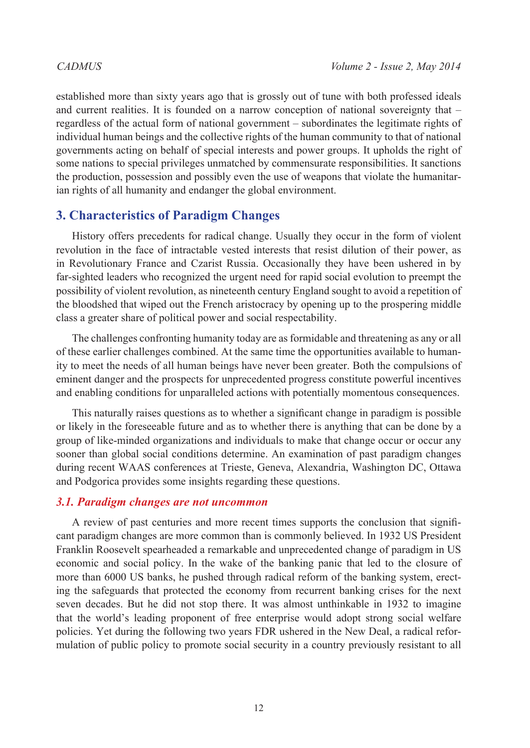established more than sixty years ago that is grossly out of tune with both professed ideals and current realities. It is founded on a narrow conception of national sovereignty that – regardless of the actual form of national government – subordinates the legitimate rights of individual human beings and the collective rights of the human community to that of national governments acting on behalf of special interests and power groups. It upholds the right of some nations to special privileges unmatched by commensurate responsibilities. It sanctions the production, possession and possibly even the use of weapons that violate the humanitarian rights of all humanity and endanger the global environment.

# **3. Characteristics of Paradigm Changes**

History offers precedents for radical change. Usually they occur in the form of violent revolution in the face of intractable vested interests that resist dilution of their power, as in Revolutionary France and Czarist Russia. Occasionally they have been ushered in by far-sighted leaders who recognized the urgent need for rapid social evolution to preempt the possibility of violent revolution, as nineteenth century England sought to avoid a repetition of the bloodshed that wiped out the French aristocracy by opening up to the prospering middle class a greater share of political power and social respectability.

The challenges confronting humanity today are as formidable and threatening as any or all of these earlier challenges combined. At the same time the opportunities available to humanity to meet the needs of all human beings have never been greater. Both the compulsions of eminent danger and the prospects for unprecedented progress constitute powerful incentives and enabling conditions for unparalleled actions with potentially momentous consequences.

This naturally raises questions as to whether a significant change in paradigm is possible or likely in the foreseeable future and as to whether there is anything that can be done by a group of like-minded organizations and individuals to make that change occur or occur any sooner than global social conditions determine. An examination of past paradigm changes during recent WAAS conferences at Trieste, Geneva, Alexandria, Washington DC, Ottawa and Podgorica provides some insights regarding these questions.

### *3.1. Paradigm changes are not uncommon*

A review of past centuries and more recent times supports the conclusion that significant paradigm changes are more common than is commonly believed. In 1932 US President Franklin Roosevelt spearheaded a remarkable and unprecedented change of paradigm in US economic and social policy. In the wake of the banking panic that led to the closure of more than 6000 US banks, he pushed through radical reform of the banking system, erecting the safeguards that protected the economy from recurrent banking crises for the next seven decades. But he did not stop there. It was almost unthinkable in 1932 to imagine that the world's leading proponent of free enterprise would adopt strong social welfare policies. Yet during the following two years FDR ushered in the New Deal, a radical reformulation of public policy to promote social security in a country previously resistant to all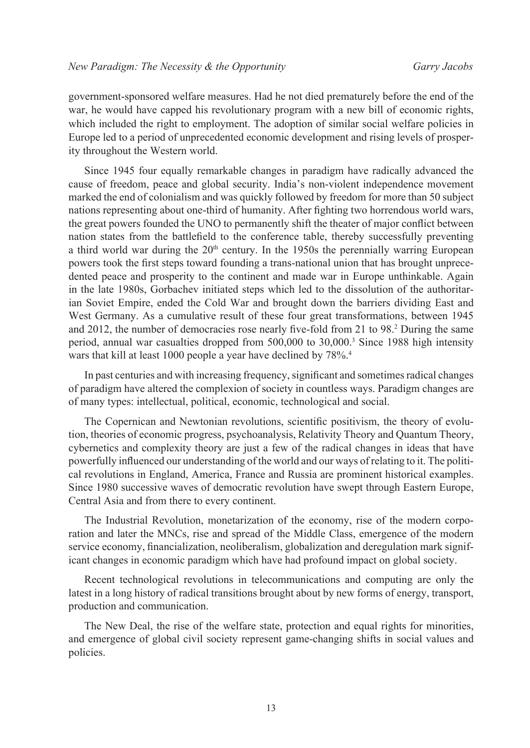government-sponsored welfare measures. Had he not died prematurely before the end of the war, he would have capped his revolutionary program with a new bill of economic rights, which included the right to employment. The adoption of similar social welfare policies in Europe led to a period of unprecedented economic development and rising levels of prosperity throughout the Western world.

Since 1945 four equally remarkable changes in paradigm have radically advanced the cause of freedom, peace and global security. India's non-violent independence movement marked the end of colonialism and was quickly followed by freedom for more than 50 subject nations representing about one-third of humanity. After fighting two horrendous world wars, the great powers founded the UNO to permanently shift the theater of major conflict between nation states from the battlefield to the conference table, thereby successfully preventing a third world war during the  $20<sup>th</sup>$  century. In the 1950s the perennially warring European powers took the first steps toward founding a trans-national union that has brought unprecedented peace and prosperity to the continent and made war in Europe unthinkable. Again in the late 1980s, Gorbachev initiated steps which led to the dissolution of the authoritarian Soviet Empire, ended the Cold War and brought down the barriers dividing East and West Germany. As a cumulative result of these four great transformations, between 1945 and [2](#page-14-1)012, the number of democracies rose nearly five-fold from 21 to 98.<sup>2</sup> During the same period, annual war casualties dropped from 500,000 to 30,000[.3](#page-14-2) Since 1988 high intensity wars that kill at least 1000 people a year have declined by 78%[.4](#page-14-3)

In past centuries and with increasing frequency, significant and sometimes radical changes of paradigm have altered the complexion of society in countless ways. Paradigm changes are of many types: intellectual, political, economic, technological and social.

The Copernican and Newtonian revolutions, scientific positivism, the theory of evolution, theories of economic progress, psychoanalysis, Relativity Theory and Quantum Theory, cybernetics and complexity theory are just a few of the radical changes in ideas that have powerfully influenced our understanding of the world and our ways of relating to it. The political revolutions in England, America, France and Russia are prominent historical examples. Since 1980 successive waves of democratic revolution have swept through Eastern Europe, Central Asia and from there to every continent.

The Industrial Revolution, monetarization of the economy, rise of the modern corporation and later the MNCs, rise and spread of the Middle Class, emergence of the modern service economy, financialization, neoliberalism, globalization and deregulation mark significant changes in economic paradigm which have had profound impact on global society.

Recent technological revolutions in telecommunications and computing are only the latest in a long history of radical transitions brought about by new forms of energy, transport, production and communication.

The New Deal, the rise of the welfare state, protection and equal rights for minorities, and emergence of global civil society represent game-changing shifts in social values and policies.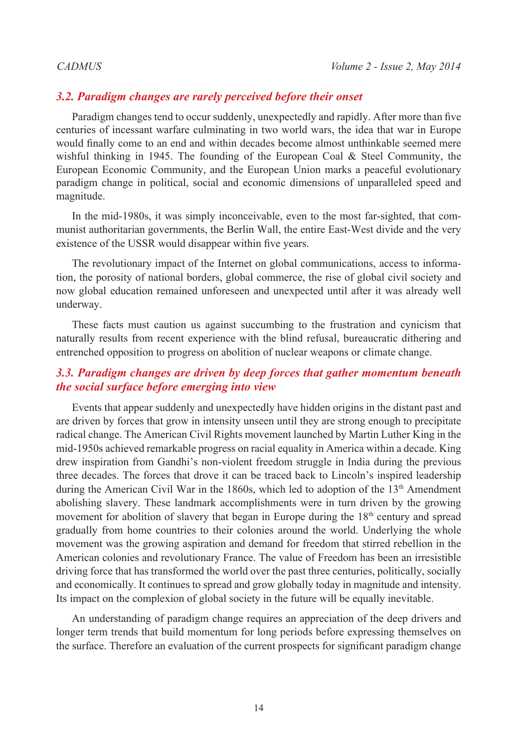#### *3.2. Paradigm changes are rarely perceived before their onset*

Paradigm changes tend to occur suddenly, unexpectedly and rapidly. After more than five centuries of incessant warfare culminating in two world wars, the idea that war in Europe would finally come to an end and within decades become almost unthinkable seemed mere wishful thinking in 1945. The founding of the European Coal  $\&$  Steel Community, the European Economic Community, and the European Union marks a peaceful evolutionary paradigm change in political, social and economic dimensions of unparalleled speed and magnitude.

In the mid-1980s, it was simply inconceivable, even to the most far-sighted, that communist authoritarian governments, the Berlin Wall, the entire East-West divide and the very existence of the USSR would disappear within five years.

The revolutionary impact of the Internet on global communications, access to information, the porosity of national borders, global commerce, the rise of global civil society and now global education remained unforeseen and unexpected until after it was already well underway.

These facts must caution us against succumbing to the frustration and cynicism that naturally results from recent experience with the blind refusal, bureaucratic dithering and entrenched opposition to progress on abolition of nuclear weapons or climate change.

# *3.3. Paradigm changes are driven by deep forces that gather momentum beneath the social surface before emerging into view*

Events that appear suddenly and unexpectedly have hidden origins in the distant past and are driven by forces that grow in intensity unseen until they are strong enough to precipitate radical change. The American Civil Rights movement launched by Martin Luther King in the mid-1950s achieved remarkable progress on racial equality in America within a decade. King drew inspiration from Gandhi's non-violent freedom struggle in India during the previous three decades. The forces that drove it can be traced back to Lincoln's inspired leadership during the American Civil War in the 1860s, which led to adoption of the 13<sup>th</sup> Amendment abolishing slavery. These landmark accomplishments were in turn driven by the growing movement for abolition of slavery that began in Europe during the  $18<sup>th</sup>$  century and spread gradually from home countries to their colonies around the world. Underlying the whole movement was the growing aspiration and demand for freedom that stirred rebellion in the American colonies and revolutionary France. The value of Freedom has been an irresistible driving force that has transformed the world over the past three centuries, politically, socially and economically. It continues to spread and grow globally today in magnitude and intensity. Its impact on the complexion of global society in the future will be equally inevitable.

An understanding of paradigm change requires an appreciation of the deep drivers and longer term trends that build momentum for long periods before expressing themselves on the surface. Therefore an evaluation of the current prospects for significant paradigm change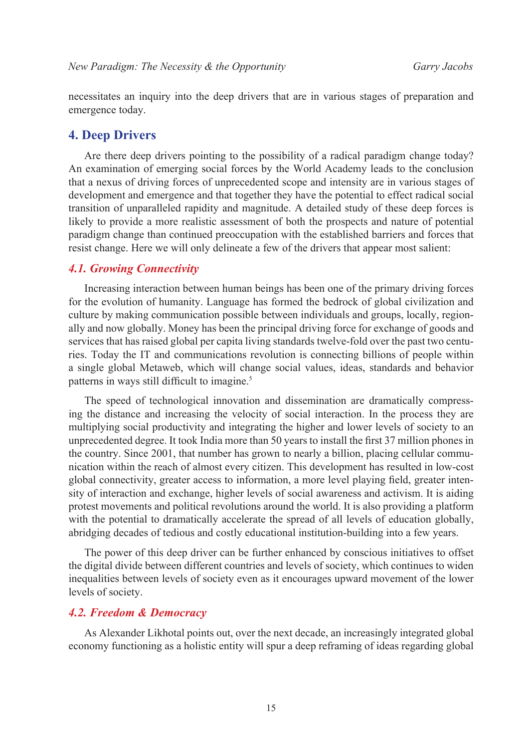necessitates an inquiry into the deep drivers that are in various stages of preparation and emergence today.

#### **4. Deep Drivers**

Are there deep drivers pointing to the possibility of a radical paradigm change today? An examination of emerging social forces by the World Academy leads to the conclusion that a nexus of driving forces of unprecedented scope and intensity are in various stages of development and emergence and that together they have the potential to effect radical social transition of unparalleled rapidity and magnitude. A detailed study of these deep forces is likely to provide a more realistic assessment of both the prospects and nature of potential paradigm change than continued preoccupation with the established barriers and forces that resist change. Here we will only delineate a few of the drivers that appear most salient:

### *4.1. Growing Connectivity*

Increasing interaction between human beings has been one of the primary driving forces for the evolution of humanity. Language has formed the bedrock of global civilization and culture by making communication possible between individuals and groups, locally, regionally and now globally. Money has been the principal driving force for exchange of goods and services that has raised global per capita living standards twelve-fold over the past two centuries. Today the IT and communications revolution is connecting billions of people within a single global Metaweb, which will change social values, ideas, standards and behavior patterns in ways still difficult to imagine.<sup>5</sup>

The speed of technological innovation and dissemination are dramatically compressing the distance and increasing the velocity of social interaction. In the process they are multiplying social productivity and integrating the higher and lower levels of society to an unprecedented degree. It took India more than 50 years to install the first 37 million phones in the country. Since 2001, that number has grown to nearly a billion, placing cellular communication within the reach of almost every citizen. This development has resulted in low-cost global connectivity, greater access to information, a more level playing field, greater intensity of interaction and exchange, higher levels of social awareness and activism. It is aiding protest movements and political revolutions around the world. It is also providing a platform with the potential to dramatically accelerate the spread of all levels of education globally, abridging decades of tedious and costly educational institution-building into a few years.

The power of this deep driver can be further enhanced by conscious initiatives to offset the digital divide between different countries and levels of society, which continues to widen inequalities between levels of society even as it encourages upward movement of the lower levels of society.

#### *4.2. Freedom & Democracy*

As Alexander Likhotal points out, over the next decade, an increasingly integrated global economy functioning as a holistic entity will spur a deep reframing of ideas regarding global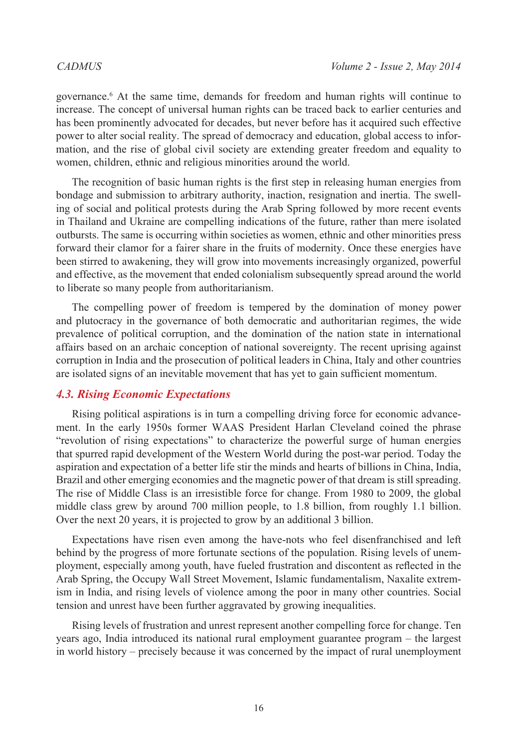governance.[6](#page-14-4) At the same time, demands for freedom and human rights will continue to increase. The concept of universal human rights can be traced back to earlier centuries and has been prominently advocated for decades, but never before has it acquired such effective power to alter social reality. The spread of democracy and education, global access to information, and the rise of global civil society are extending greater freedom and equality to women, children, ethnic and religious minorities around the world.

The recognition of basic human rights is the first step in releasing human energies from bondage and submission to arbitrary authority, inaction, resignation and inertia. The swelling of social and political protests during the Arab Spring followed by more recent events in Thailand and Ukraine are compelling indications of the future, rather than mere isolated outbursts. The same is occurring within societies as women, ethnic and other minorities press forward their clamor for a fairer share in the fruits of modernity. Once these energies have been stirred to awakening, they will grow into movements increasingly organized, powerful and effective, as the movement that ended colonialism subsequently spread around the world to liberate so many people from authoritarianism.

The compelling power of freedom is tempered by the domination of money power and plutocracy in the governance of both democratic and authoritarian regimes, the wide prevalence of political corruption, and the domination of the nation state in international affairs based on an archaic conception of national sovereignty. The recent uprising against corruption in India and the prosecution of political leaders in China, Italy and other countries are isolated signs of an inevitable movement that has yet to gain sufficient momentum.

### *4.3. Rising Economic Expectations*

Rising political aspirations is in turn a compelling driving force for economic advancement. In the early 1950s former WAAS President Harlan Cleveland coined the phrase "revolution of rising expectations" to characterize the powerful surge of human energies that spurred rapid development of the Western World during the post-war period. Today the aspiration and expectation of a better life stir the minds and hearts of billions in China, India, Brazil and other emerging economies and the magnetic power of that dream is still spreading. The rise of Middle Class is an irresistible force for change. From 1980 to 2009, the global middle class grew by around 700 million people, to 1.8 billion, from roughly 1.1 billion. Over the next 20 years, it is projected to grow by an additional 3 billion.

Expectations have risen even among the have-nots who feel disenfranchised and left behind by the progress of more fortunate sections of the population. Rising levels of unemployment, especially among youth, have fueled frustration and discontent as reflected in the Arab Spring, the Occupy Wall Street Movement, Islamic fundamentalism, Naxalite extremism in India, and rising levels of violence among the poor in many other countries. Social tension and unrest have been further aggravated by growing inequalities.

Rising levels of frustration and unrest represent another compelling force for change. Ten years ago, India introduced its national rural employment guarantee program – the largest in world history – precisely because it was concerned by the impact of rural unemployment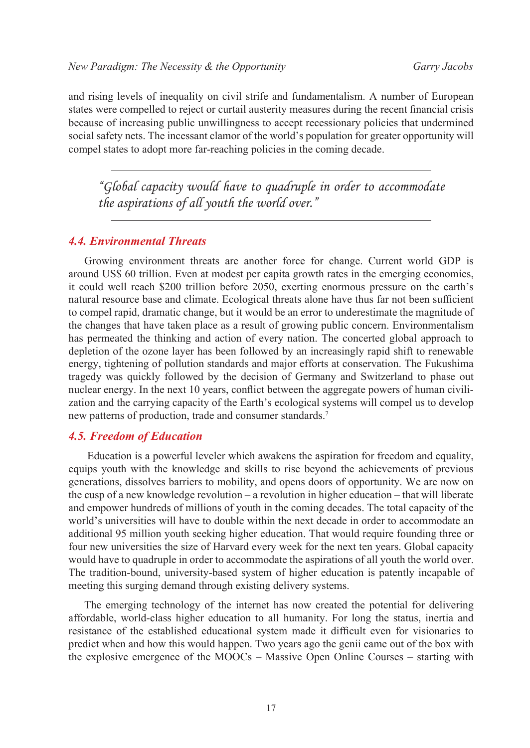and rising levels of inequality on civil strife and fundamentalism. A number of European states were compelled to reject or curtail austerity measures during the recent financial crisis because of increasing public unwillingness to accept recessionary policies that undermined social safety nets. The incessant clamor of the world's population for greater opportunity will compel states to adopt more far-reaching policies in the coming decade.

*"Global capacity would have to quadruple in order to accommodate the aspirations of all youth the world over."*

#### *4.4. Environmental Threats*

Growing environment threats are another force for change. Current world GDP is around US\$ 60 trillion. Even at modest per capita growth rates in the emerging economies, it could well reach \$200 trillion before 2050, exerting enormous pressure on the earth's natural resource base and climate. Ecological threats alone have thus far not been sufficient to compel rapid, dramatic change, but it would be an error to underestimate the magnitude of the changes that have taken place as a result of growing public concern. Environmentalism has permeated the thinking and action of every nation. The concerted global approach to depletion of the ozone layer has been followed by an increasingly rapid shift to renewable energy, tightening of pollution standards and major efforts at conservation. The Fukushima tragedy was quickly followed by the decision of Germany and Switzerland to phase out nuclear energy. In the next 10 years, conflict between the aggregate powers of human civilization and the carrying capacity of the Earth's ecological systems will compel us to develop new patterns of production, trade and consumer standards.<sup>[7](#page-14-5)</sup>

#### *4.5. Freedom of Education*

Education is a powerful leveler which awakens the aspiration for freedom and equality, equips youth with the knowledge and skills to rise beyond the achievements of previous generations, dissolves barriers to mobility, and opens doors of opportunity. We are now on the cusp of a new knowledge revolution – a revolution in higher education – that will liberate and empower hundreds of millions of youth in the coming decades. The total capacity of the world's universities will have to double within the next decade in order to accommodate an additional 95 million youth seeking higher education. That would require founding three or four new universities the size of Harvard every week for the next ten years. Global capacity would have to quadruple in order to accommodate the aspirations of all youth the world over. The tradition-bound, university-based system of higher education is patently incapable of meeting this surging demand through existing delivery systems.

The emerging technology of the internet has now created the potential for delivering affordable, world-class higher education to all humanity. For long the status, inertia and resistance of the established educational system made it difficult even for visionaries to predict when and how this would happen. Two years ago the genii came out of the box with the explosive emergence of the MOOCs – Massive Open Online Courses – starting with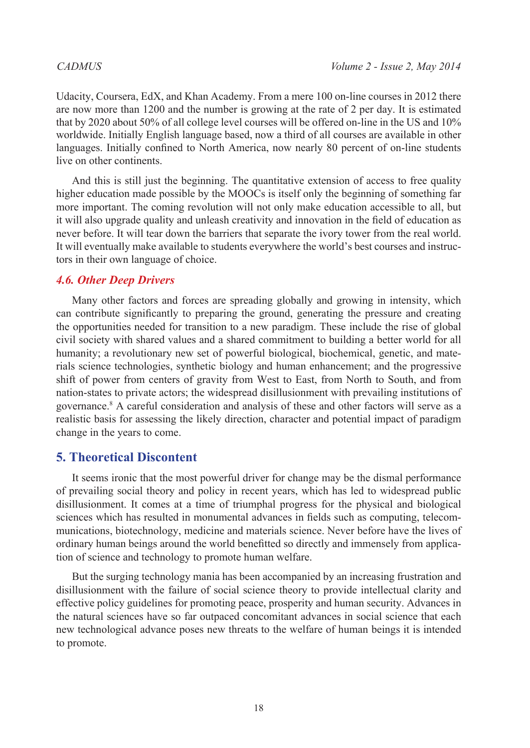Udacity, Coursera, EdX, and Khan Academy. From a mere 100 on-line courses in 2012 there are now more than 1200 and the number is growing at the rate of 2 per day. It is estimated that by 2020 about 50% of all college level courses will be offered on-line in the US and 10% worldwide. Initially English language based, now a third of all courses are available in other languages. Initially confined to North America, now nearly 80 percent of on-line students live on other continents.

And this is still just the beginning. The quantitative extension of access to free quality higher education made possible by the MOOCs is itself only the beginning of something far more important. The coming revolution will not only make education accessible to all, but it will also upgrade quality and unleash creativity and innovation in the field of education as never before. It will tear down the barriers that separate the ivory tower from the real world. It will eventually make available to students everywhere the world's best courses and instructors in their own language of choice.

## *4.6. Other Deep Drivers*

Many other factors and forces are spreading globally and growing in intensity, which can contribute significantly to preparing the ground, generating the pressure and creating the opportunities needed for transition to a new paradigm. These include the rise of global civil society with shared values and a shared commitment to building a better world for all humanity; a revolutionary new set of powerful biological, biochemical, genetic, and materials science technologies, synthetic biology and human enhancement; and the progressive shift of power from centers of gravity from West to East, from North to South, and from nation-states to private actors; the widespread disillusionment with prevailing institutions of governance.[8](#page-14-6) A careful consideration and analysis of these and other factors will serve as a realistic basis for assessing the likely direction, character and potential impact of paradigm change in the years to come.

### **5. Theoretical Discontent**

It seems ironic that the most powerful driver for change may be the dismal performance of prevailing social theory and policy in recent years, which has led to widespread public disillusionment. It comes at a time of triumphal progress for the physical and biological sciences which has resulted in monumental advances in fields such as computing, telecommunications, biotechnology, medicine and materials science. Never before have the lives of ordinary human beings around the world benefitted so directly and immensely from application of science and technology to promote human welfare.

But the surging technology mania has been accompanied by an increasing frustration and disillusionment with the failure of social science theory to provide intellectual clarity and effective policy guidelines for promoting peace, prosperity and human security. Advances in the natural sciences have so far outpaced concomitant advances in social science that each new technological advance poses new threats to the welfare of human beings it is intended to promote.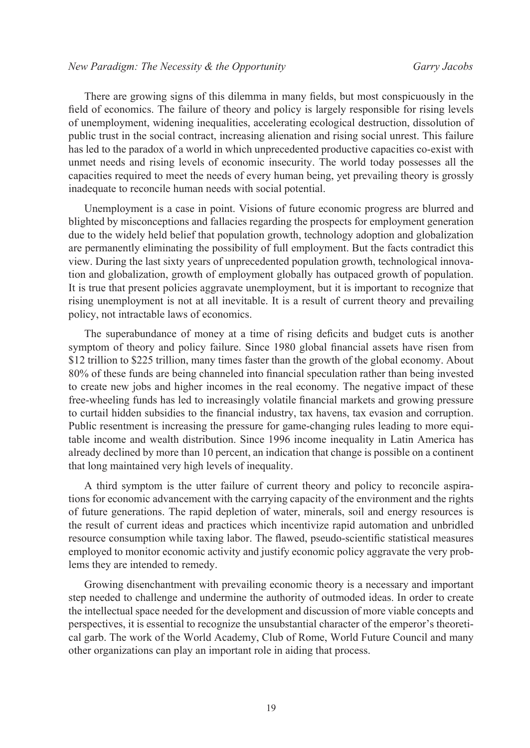There are growing signs of this dilemma in many fields, but most conspicuously in the field of economics. The failure of theory and policy is largely responsible for rising levels of unemployment, widening inequalities, accelerating ecological destruction, dissolution of public trust in the social contract, increasing alienation and rising social unrest. This failure has led to the paradox of a world in which unprecedented productive capacities co-exist with unmet needs and rising levels of economic insecurity. The world today possesses all the capacities required to meet the needs of every human being, yet prevailing theory is grossly inadequate to reconcile human needs with social potential.

Unemployment is a case in point. Visions of future economic progress are blurred and blighted by misconceptions and fallacies regarding the prospects for employment generation due to the widely held belief that population growth, technology adoption and globalization are permanently eliminating the possibility of full employment. But the facts contradict this view. During the last sixty years of unprecedented population growth, technological innovation and globalization, growth of employment globally has outpaced growth of population. It is true that present policies aggravate unemployment, but it is important to recognize that rising unemployment is not at all inevitable. It is a result of current theory and prevailing policy, not intractable laws of economics.

The superabundance of money at a time of rising deficits and budget cuts is another symptom of theory and policy failure. Since 1980 global financial assets have risen from \$12 trillion to \$225 trillion, many times faster than the growth of the global economy. About 80% of these funds are being channeled into financial speculation rather than being invested to create new jobs and higher incomes in the real economy. The negative impact of these free-wheeling funds has led to increasingly volatile financial markets and growing pressure to curtail hidden subsidies to the financial industry, tax havens, tax evasion and corruption. Public resentment is increasing the pressure for game-changing rules leading to more equitable income and wealth distribution. Since 1996 income inequality in Latin America has already declined by more than 10 percent, an indication that change is possible on a continent that long maintained very high levels of inequality.

A third symptom is the utter failure of current theory and policy to reconcile aspirations for economic advancement with the carrying capacity of the environment and the rights of future generations. The rapid depletion of water, minerals, soil and energy resources is the result of current ideas and practices which incentivize rapid automation and unbridled resource consumption while taxing labor. The flawed, pseudo-scientific statistical measures employed to monitor economic activity and justify economic policy aggravate the very problems they are intended to remedy.

Growing disenchantment with prevailing economic theory is a necessary and important step needed to challenge and undermine the authority of outmoded ideas. In order to create the intellectual space needed for the development and discussion of more viable concepts and perspectives, it is essential to recognize the unsubstantial character of the emperor's theoretical garb. The work of the World Academy, Club of Rome, World Future Council and many other organizations can play an important role in aiding that process.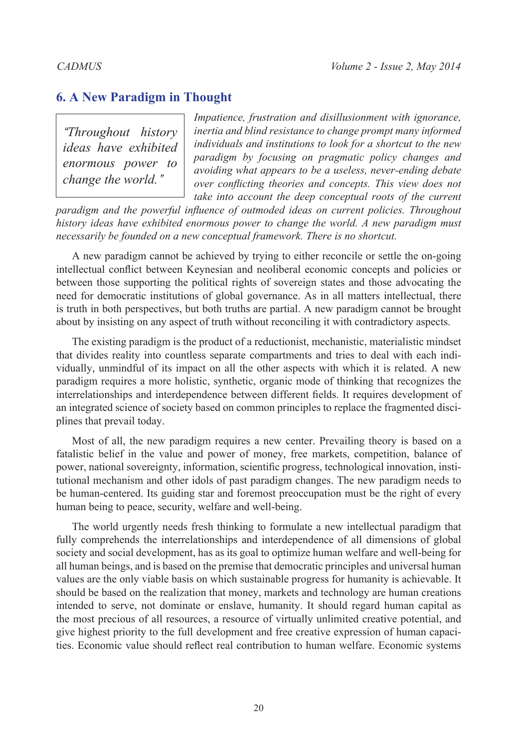# **6. A New Paradigm in Thought**

*"Throughout history ideas have exhibited enormous power to change the world."*

*Impatience, frustration and disillusionment with ignorance, inertia and blind resistance to change prompt many informed individuals and institutions to look for a shortcut to the new paradigm by focusing on pragmatic policy changes and avoiding what appears to be a useless, never-ending debate over conflicting theories and concepts. This view does not take into account the deep conceptual roots of the current* 

*paradigm and the powerful influence of outmoded ideas on current policies. Throughout history ideas have exhibited enormous power to change the world. A new paradigm must necessarily be founded on a new conceptual framework. There is no shortcut.* 

A new paradigm cannot be achieved by trying to either reconcile or settle the on-going intellectual conflict between Keynesian and neoliberal economic concepts and policies or between those supporting the political rights of sovereign states and those advocating the need for democratic institutions of global governance. As in all matters intellectual, there is truth in both perspectives, but both truths are partial. A new paradigm cannot be brought about by insisting on any aspect of truth without reconciling it with contradictory aspects.

The existing paradigm is the product of a reductionist, mechanistic, materialistic mindset that divides reality into countless separate compartments and tries to deal with each individually, unmindful of its impact on all the other aspects with which it is related. A new paradigm requires a more holistic, synthetic, organic mode of thinking that recognizes the interrelationships and interdependence between different fields. It requires development of an integrated science of society based on common principles to replace the fragmented disciplines that prevail today.

Most of all, the new paradigm requires a new center. Prevailing theory is based on a fatalistic belief in the value and power of money, free markets, competition, balance of power, national sovereignty, information, scientific progress, technological innovation, institutional mechanism and other idols of past paradigm changes. The new paradigm needs to be human-centered. Its guiding star and foremost preoccupation must be the right of every human being to peace, security, welfare and well-being.

The world urgently needs fresh thinking to formulate a new intellectual paradigm that fully comprehends the interrelationships and interdependence of all dimensions of global society and social development, has as its goal to optimize human welfare and well-being for all human beings, and is based on the premise that democratic principles and universal human values are the only viable basis on which sustainable progress for humanity is achievable. It should be based on the realization that money, markets and technology are human creations intended to serve, not dominate or enslave, humanity. It should regard human capital as the most precious of all resources, a resource of virtually unlimited creative potential, and give highest priority to the full development and free creative expression of human capacities. Economic value should reflect real contribution to human welfare. Economic systems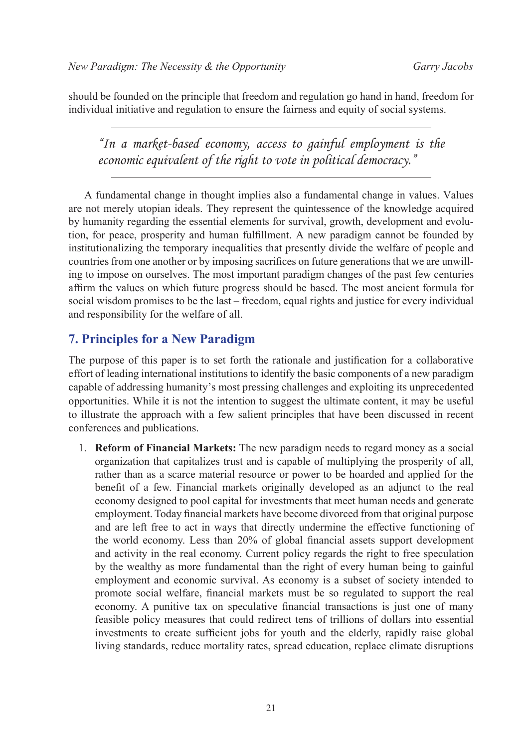should be founded on the principle that freedom and regulation go hand in hand, freedom for individual initiative and regulation to ensure the fairness and equity of social systems.

*"In a market-based economy, access to gainful employment is the economic equivalent of the right to vote in political democracy."*

A fundamental change in thought implies also a fundamental change in values. Values are not merely utopian ideals. They represent the quintessence of the knowledge acquired by humanity regarding the essential elements for survival, growth, development and evolution, for peace, prosperity and human fulfillment. A new paradigm cannot be founded by institutionalizing the temporary inequalities that presently divide the welfare of people and countries from one another or by imposing sacrifices on future generations that we are unwilling to impose on ourselves. The most important paradigm changes of the past few centuries affirm the values on which future progress should be based. The most ancient formula for social wisdom promises to be the last – freedom, equal rights and justice for every individual and responsibility for the welfare of all.

# **7. Principles for a New Paradigm**

The purpose of this paper is to set forth the rationale and justification for a collaborative effort of leading international institutions to identify the basic components of a new paradigm capable of addressing humanity's most pressing challenges and exploiting its unprecedented opportunities. While it is not the intention to suggest the ultimate content, it may be useful to illustrate the approach with a few salient principles that have been discussed in recent conferences and publications.

1. **Reform of Financial Markets:** The new paradigm needs to regard money as a social organization that capitalizes trust and is capable of multiplying the prosperity of all, rather than as a scarce material resource or power to be hoarded and applied for the benefit of a few. Financial markets originally developed as an adjunct to the real economy designed to pool capital for investments that meet human needs and generate employment. Today financial markets have become divorced from that original purpose and are left free to act in ways that directly undermine the effective functioning of the world economy. Less than 20% of global financial assets support development and activity in the real economy. Current policy regards the right to free speculation by the wealthy as more fundamental than the right of every human being to gainful employment and economic survival. As economy is a subset of society intended to promote social welfare, financial markets must be so regulated to support the real economy. A punitive tax on speculative financial transactions is just one of many feasible policy measures that could redirect tens of trillions of dollars into essential investments to create sufficient jobs for youth and the elderly, rapidly raise global living standards, reduce mortality rates, spread education, replace climate disruptions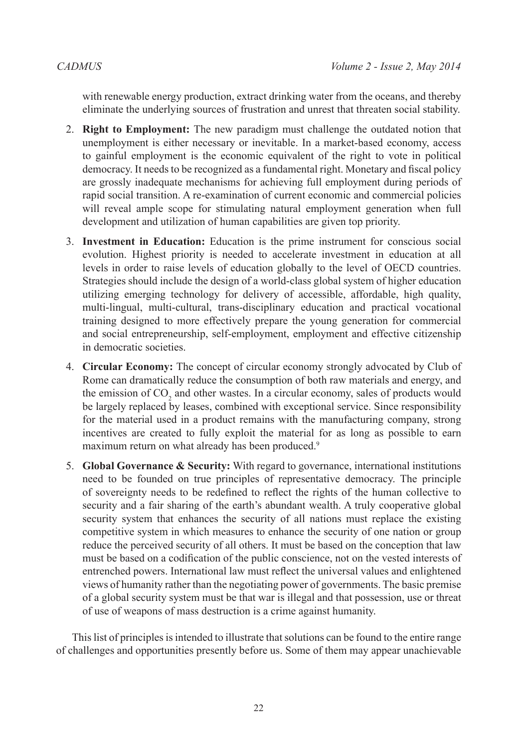with renewable energy production, extract drinking water from the oceans, and thereby eliminate the underlying sources of frustration and unrest that threaten social stability.

- 2. **Right to Employment:** The new paradigm must challenge the outdated notion that unemployment is either necessary or inevitable. In a market-based economy, access to gainful employment is the economic equivalent of the right to vote in political democracy. It needs to be recognized as a fundamental right. Monetary and fiscal policy are grossly inadequate mechanisms for achieving full employment during periods of rapid social transition. A re-examination of current economic and commercial policies will reveal ample scope for stimulating natural employment generation when full development and utilization of human capabilities are given top priority.
- 3. **Investment in Education:** Education is the prime instrument for conscious social evolution. Highest priority is needed to accelerate investment in education at all levels in order to raise levels of education globally to the level of OECD countries. Strategies should include the design of a world-class global system of higher education utilizing emerging technology for delivery of accessible, affordable, high quality, multi-lingual, multi-cultural, trans-disciplinary education and practical vocational training designed to more effectively prepare the young generation for commercial and social entrepreneurship, self-employment, employment and effective citizenship in democratic societies.
- 4. **Circular Economy:** The concept of circular economy strongly advocated by Club of Rome can dramatically reduce the consumption of both raw materials and energy, and the emission of  $CO_2$  and other wastes. In a circular economy, sales of products would be largely replaced by leases, combined with exceptional service. Since responsibility for the material used in a product remains with the manufacturing company, strong incentives are created to fully exploit the material for as long as possible to earn maximum return on what already has been produced.<sup>[9](#page-14-7)</sup>
- 5. **Global Governance & Security:** With regard to governance, international institutions need to be founded on true principles of representative democracy. The principle of sovereignty needs to be redefined to reflect the rights of the human collective to security and a fair sharing of the earth's abundant wealth. A truly cooperative global security system that enhances the security of all nations must replace the existing competitive system in which measures to enhance the security of one nation or group reduce the perceived security of all others. It must be based on the conception that law must be based on a codification of the public conscience, not on the vested interests of entrenched powers. International law must reflect the universal values and enlightened views of humanity rather than the negotiating power of governments. The basic premise of a global security system must be that war is illegal and that possession, use or threat of use of weapons of mass destruction is a crime against humanity.

This list of principles is intended to illustrate that solutions can be found to the entire range of challenges and opportunities presently before us. Some of them may appear unachievable